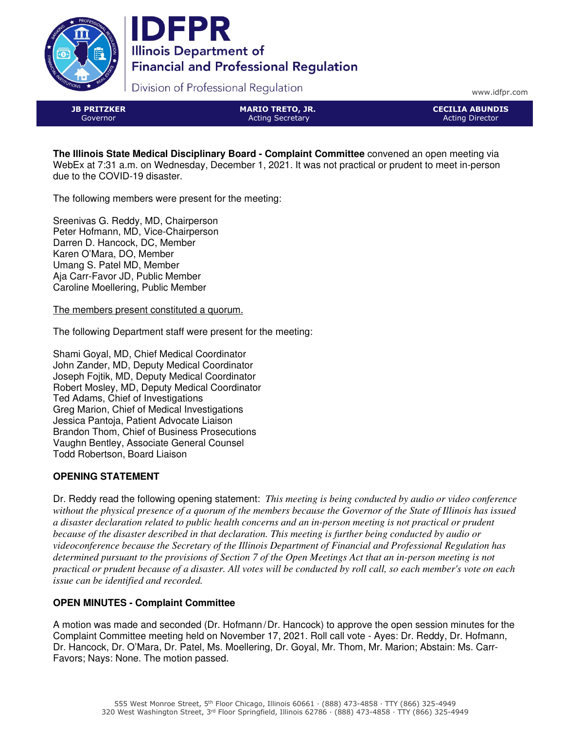



Division of Professional Regulation

www.idfpr.com

JB PRITZKER Governor

MARIO TRETO, JR. Acting Secretary

CECILIA ABUNDIS Acting Director

**The Illinois State Medical Disciplinary Board - Complaint Committee** convened an open meeting via WebEx at 7:31 a.m. on Wednesday, December 1, 2021. It was not practical or prudent to meet in-person due to the COVID-19 disaster.

The following members were present for the meeting:

Sreenivas G. Reddy, MD, Chairperson Peter Hofmann, MD, Vice-Chairperson Darren D. Hancock, DC, Member Karen O'Mara, DO, Member Umang S. Patel MD, Member Aja Carr-Favor JD, Public Member Caroline Moellering, Public Member

The members present constituted a quorum.

The following Department staff were present for the meeting:

Shami Goyal, MD, Chief Medical Coordinator John Zander, MD, Deputy Medical Coordinator Joseph Fojtik, MD, Deputy Medical Coordinator Robert Mosley, MD, Deputy Medical Coordinator Ted Adams, Chief of Investigations Greg Marion, Chief of Medical Investigations Jessica Pantoja, Patient Advocate Liaison Brandon Thom, Chief of Business Prosecutions Vaughn Bentley, Associate General Counsel Todd Robertson, Board Liaison

# **OPENING STATEMENT**

Dr. Reddy read the following opening statement: *This meeting is being conducted by audio or video conference without the physical presence of a quorum of the members because the Governor of the State of Illinois has issued a disaster declaration related to public health concerns and an in-person meeting is not practical or prudent because of the disaster described in that declaration. This meeting is further being conducted by audio or videoconference because the Secretary of the Illinois Department of Financial and Professional Regulation has determined pursuant to the provisions of Section 7 of the Open Meetings Act that an in-person meeting is not practical or prudent because of a disaster. All votes will be conducted by roll call, so each member's vote on each issue can be identified and recorded.*

# **OPEN MINUTES - Complaint Committee**

A motion was made and seconded (Dr. Hofmann/Dr. Hancock) to approve the open session minutes for the Complaint Committee meeting held on November 17, 2021. Roll call vote - Ayes: Dr. Reddy, Dr. Hofmann, Dr. Hancock, Dr. O'Mara, Dr. Patel, Ms. Moellering, Dr. Goyal, Mr. Thom, Mr. Marion; Abstain: Ms. Carr-Favors; Nays: None. The motion passed.